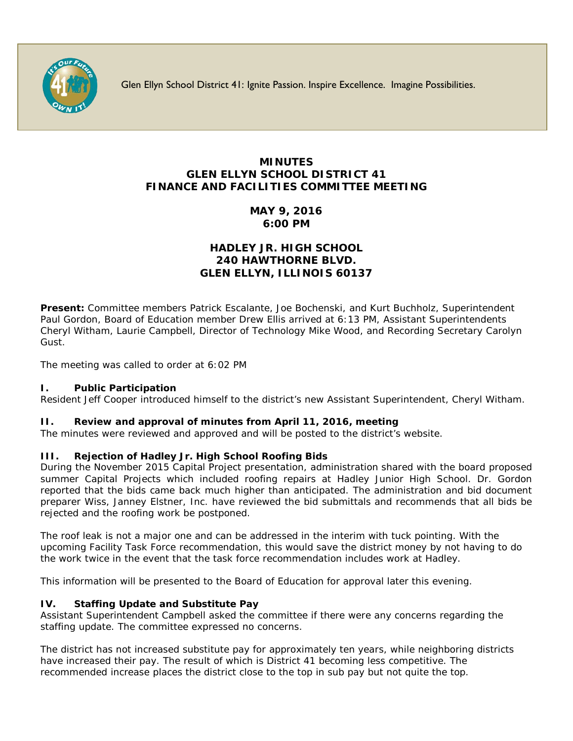

Glen Ellyn School District 41: Ignite Passion. Inspire Excellence. Imagine Possibilities.

# **MINUTES GLEN ELLYN SCHOOL DISTRICT 41 FINANCE AND FACILITIES COMMITTEE MEETING**

**MAY 9, 2016 6:00 PM**

## **HADLEY JR. HIGH SCHOOL 240 HAWTHORNE BLVD. GLEN ELLYN, ILLINOIS 60137**

**Present:** Committee members Patrick Escalante, Joe Bochenski, and Kurt Buchholz, Superintendent Paul Gordon, Board of Education member Drew Ellis arrived at 6:13 PM, Assistant Superintendents Cheryl Witham, Laurie Campbell, Director of Technology Mike Wood, and Recording Secretary Carolyn Gust.

The meeting was called to order at 6:02 PM

### **I. Public Participation**

Resident Jeff Cooper introduced himself to the district's new Assistant Superintendent, Cheryl Witham.

#### **II. Review and approval of minutes from April 11, 2016, meeting**

The minutes were reviewed and approved and will be posted to the district's website.

### **III. Rejection of Hadley Jr. High School Roofing Bids**

During the November 2015 Capital Project presentation, administration shared with the board proposed summer Capital Projects which included roofing repairs at Hadley Junior High School. Dr. Gordon reported that the bids came back much higher than anticipated. The administration and bid document preparer Wiss, Janney Elstner, Inc. have reviewed the bid submittals and recommends that all bids be rejected and the roofing work be postponed.

The roof leak is not a major one and can be addressed in the interim with tuck pointing. With the upcoming Facility Task Force recommendation, this would save the district money by not having to do the work twice in the event that the task force recommendation includes work at Hadley.

This information will be presented to the Board of Education for approval later this evening.

### **IV. Staffing Update and Substitute Pay**

Assistant Superintendent Campbell asked the committee if there were any concerns regarding the staffing update. The committee expressed no concerns.

The district has not increased substitute pay for approximately ten years, while neighboring districts have increased their pay. The result of which is District 41 becoming less competitive. The recommended increase places the district close to the top in sub pay but not quite the top.